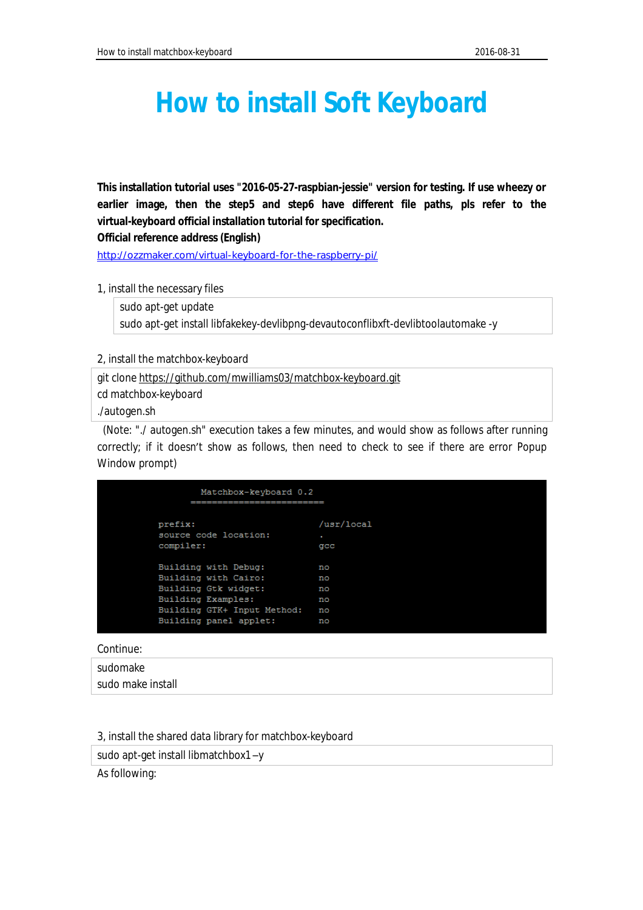## **How to install Soft Keyboard**

**This installation tutorial uses "2016-05-27-raspbian-jessie" version for testing. If use wheezy or earlier image, then the step5 and step6 have different file paths, pls refer to the virtual-keyboard official installation tutorial for specification.** 

**Official reference address (English)** 

<http://ozzmaker.com/virtual-keyboard-for-the-raspberry-pi/>

1, install the necessary files

sudo apt-get update

sudo apt-get install libfakekey-devlibpng-devautoconflibxft-devlibtoolautomake -y

2, install the matchbox-keyboard

git clone <https://github.com/mwilliams03/matchbox-keyboard.git>

cd matchbox-keyboard

./autogen.sh

(Note: "./ autogen.sh" execution takes a few minutes, and would show as follows after running correctly; if it doesn't show as follows, then need to check to see if there are error Popup Window prompt)

| Matchbox-keyboard 0.2<br>____________________________ |            |
|-------------------------------------------------------|------------|
| prefix:                                               | /usr/local |
| source code location:                                 | ٠          |
| compiler:                                             | qcc        |
|                                                       |            |
| Building with Debug:                                  | no         |
| Building with Cairo:                                  | no         |
| Building Gtk widget:                                  | no         |
| Building Examples:                                    | no         |
| Building GTK+ Input Method:                           | no         |
| Building panel applet:                                | no         |
|                                                       |            |

Continue:

sudomake sudo make install

3, install the shared data library for matchbox-keyboard

sudo apt-get install libmatchbox1 –y

As following: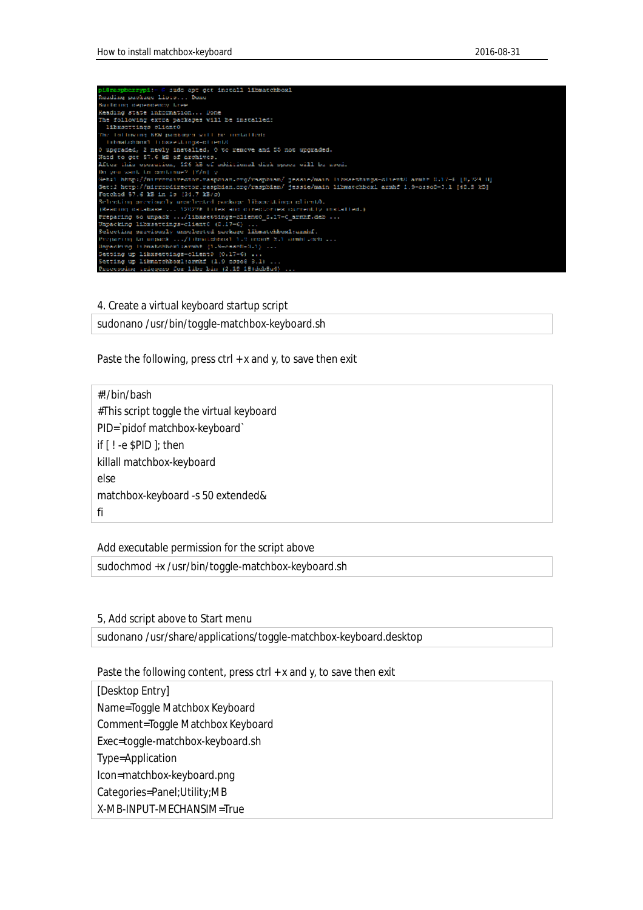

4. Create a virtual keyboard startup script

sudonano /usr/bin/toggle-matchbox-keyboard.sh

Paste the following, press  $ctrl + x$  and y, to save then exit

#!/bin/bash #This script toggle the virtual keyboard PID=`pidof matchbox-keyboard` if  $[$  ! -e \$PID ]; then killall matchbox-keyboard else matchbox-keyboard -s 50 extended& fi

Add executable permission for the script above

sudochmod +x /usr/bin/toggle-matchbox-keyboard.sh

5, Add script above to Start menu

sudonano /usr/share/applications/toggle-matchbox-keyboard.desktop

Paste the following content, press ctrl  $+ x$  and  $y$ , to save then exit

[Desktop Entry] Name=Toggle Matchbox Keyboard Comment=Toggle Matchbox Keyboard Exec=toggle-matchbox-keyboard.sh Type=Application Icon=matchbox-keyboard.png Categories=Panel;Utility;MB X-MB-INPUT-MECHANSIM=True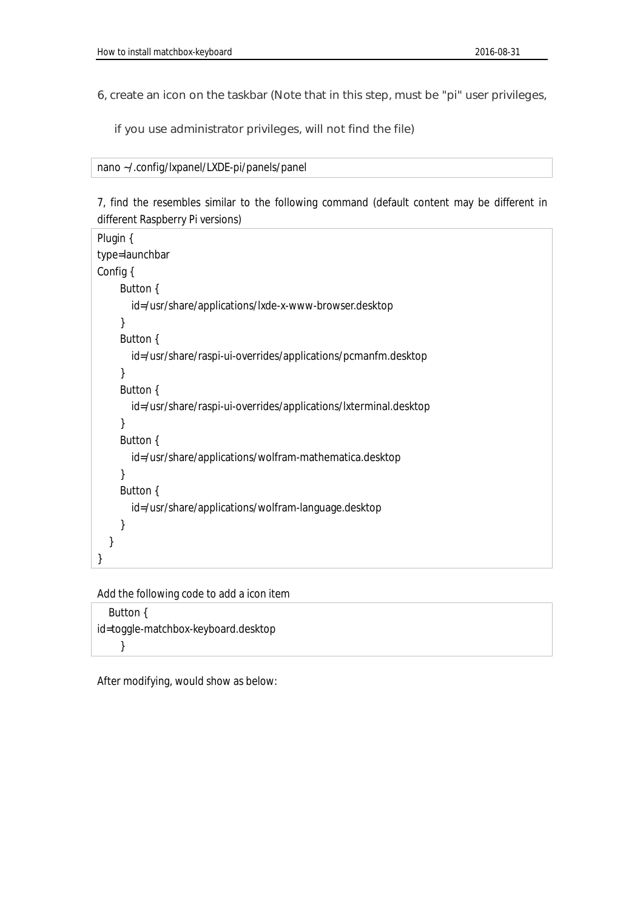6, create an icon on the taskbar (Note that in this step, must be "pi" user privileges,

if you use administrator privileges, will not find the file)

nano ~/.config/lxpanel/LXDE-pi/panels/panel

7, find the resembles similar to the following command (default content may be different in different Raspberry Pi versions)

```
Plugin { 
type=launchbar 
Config { 
      Button { 
        id=/usr/share/applications/lxde-x-www-browser.desktop 
      } 
      Button { 
        id=/usr/share/raspi-ui-overrides/applications/pcmanfm.desktop 
      } 
      Button { 
        id=/usr/share/raspi-ui-overrides/applications/lxterminal.desktop 
      } 
      Button { 
        id=/usr/share/applications/wolfram-mathematica.desktop 
      } 
      Button { 
        id=/usr/share/applications/wolfram-language.desktop 
      } 
   } 
}
```
Add the following code to add a icon item

 Button { id=toggle-matchbox-keyboard.desktop }

After modifying, would show as below: